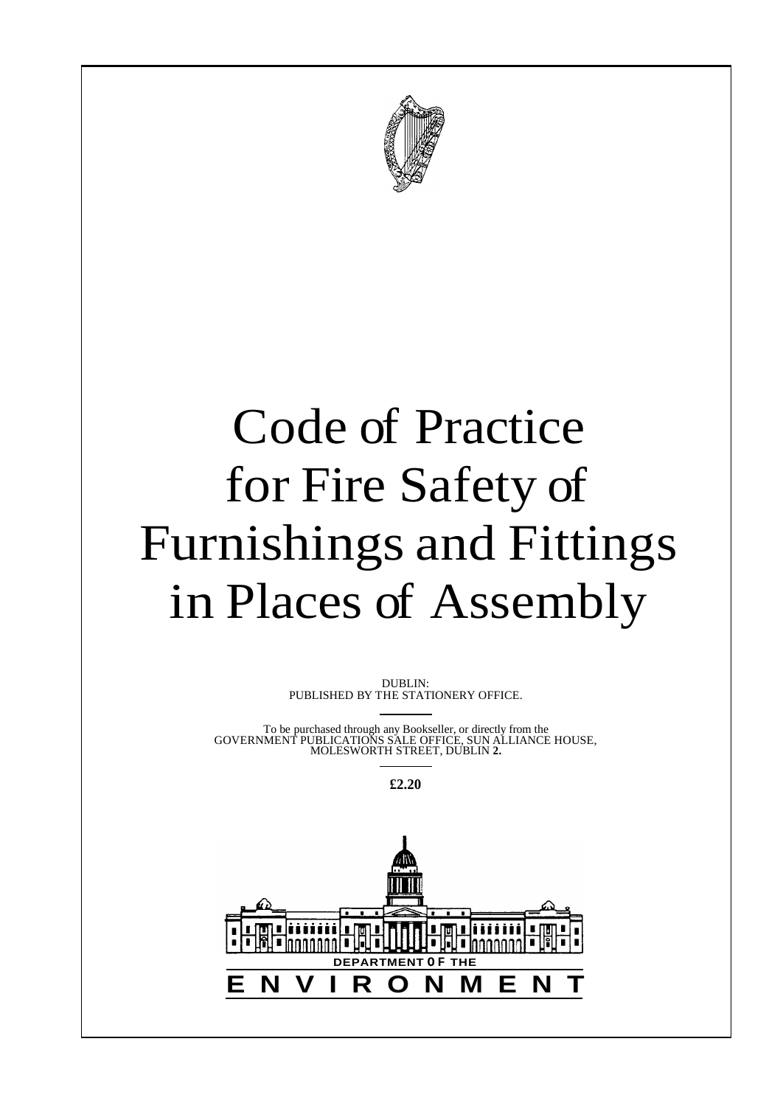

# Code of Practice for Fire Safety of Furnishings and Fittings in Places of Assembly

DUBLIN: PUBLISHED BY THE STATIONERY OFFICE.

To be purchased through any Bookseller, or directly from the GOVERNMENT PUBLICATIONS SALE OFFICE, SUN ALLIANCE HOUSE, MOLESWORTH STREET, DUBLIN **2.** 

**£2.20** 

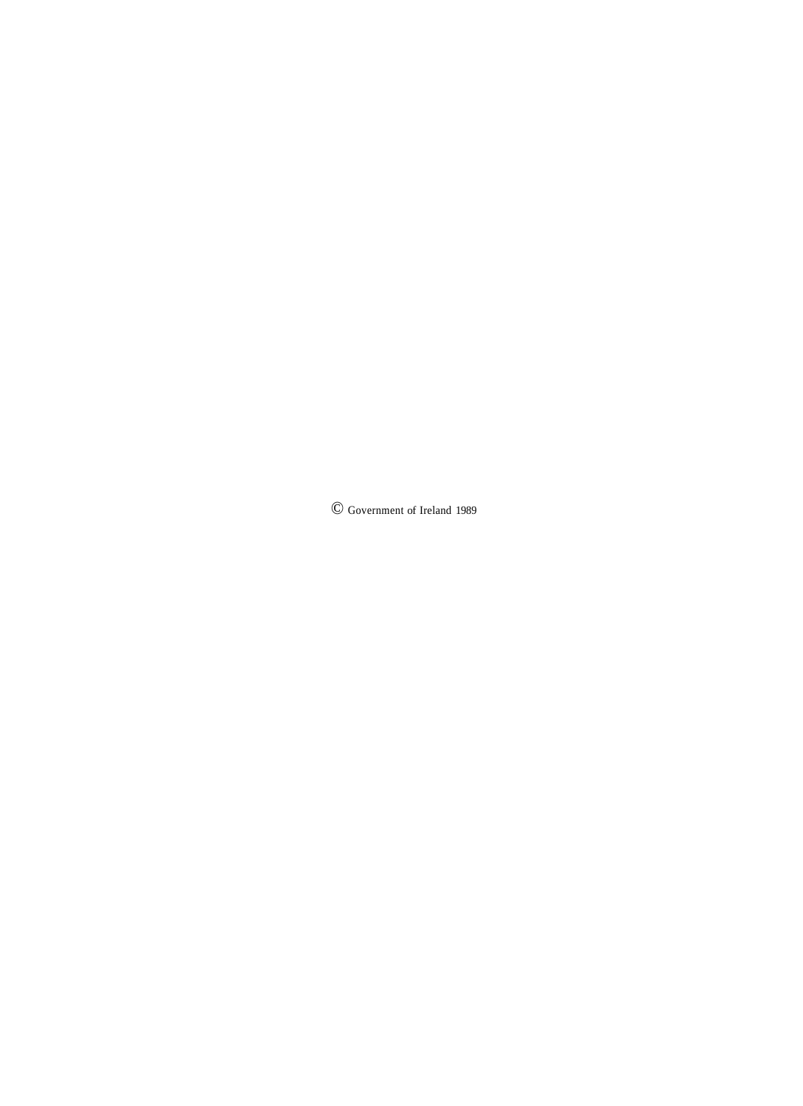© Government of Ireland 1989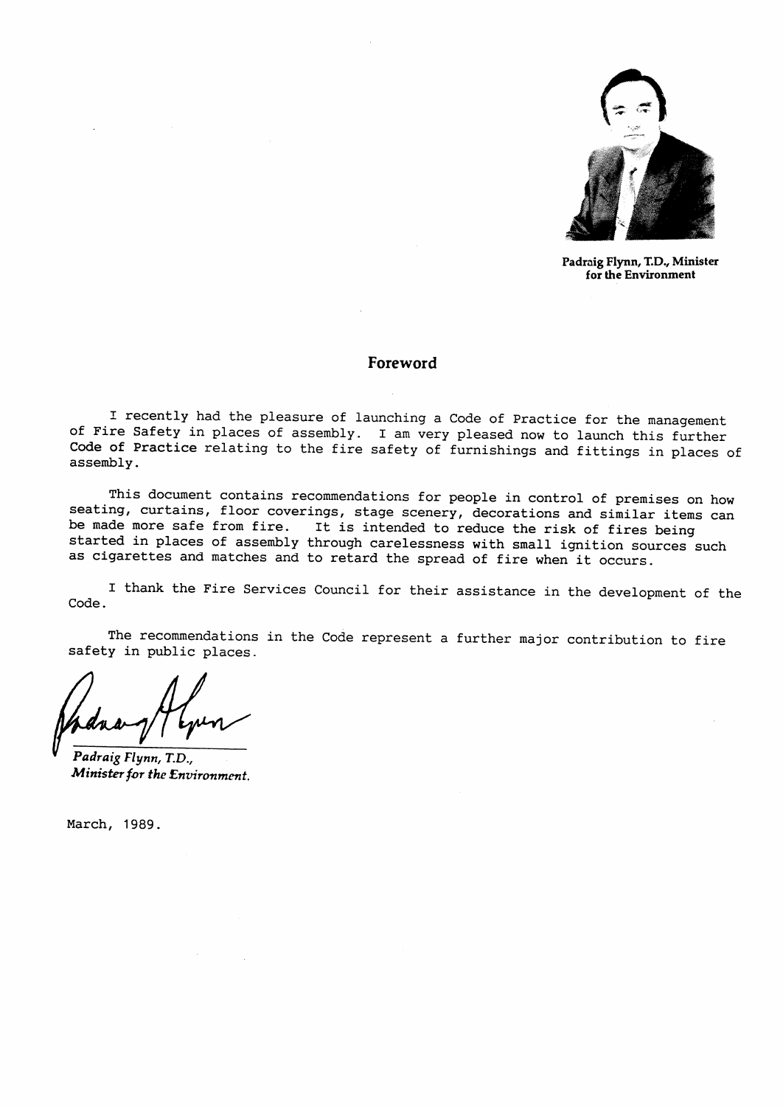

Padraig Flynn, T.D., Minister for the Environment

#### Foreword

I recently had the pleasure of launching a Code of Practice for the management of Fire Safety in places of assembly. I am very pleased now to launch this further Code of Practice relating to the fire safety of furnishings and fittings in places of assembly.

This document contains recommendations for people in control of premises on how seating, curtains, floor coverings, stage scenery, decorations and similar items can be made more safe from fire. It is intended to reduce the risk of fires being started in places of assembly through carelessness with small ignition sources such as cigarettes and matches and to retard the spread of fire when it occurs.

I thank the Fire Services Council for their assistance in the development of the Code.

The recommendations in the Code represent a further major contribution to fire safety in public places.

Padraig Flynn, T.D., Minister for the Environment.

March, 1989.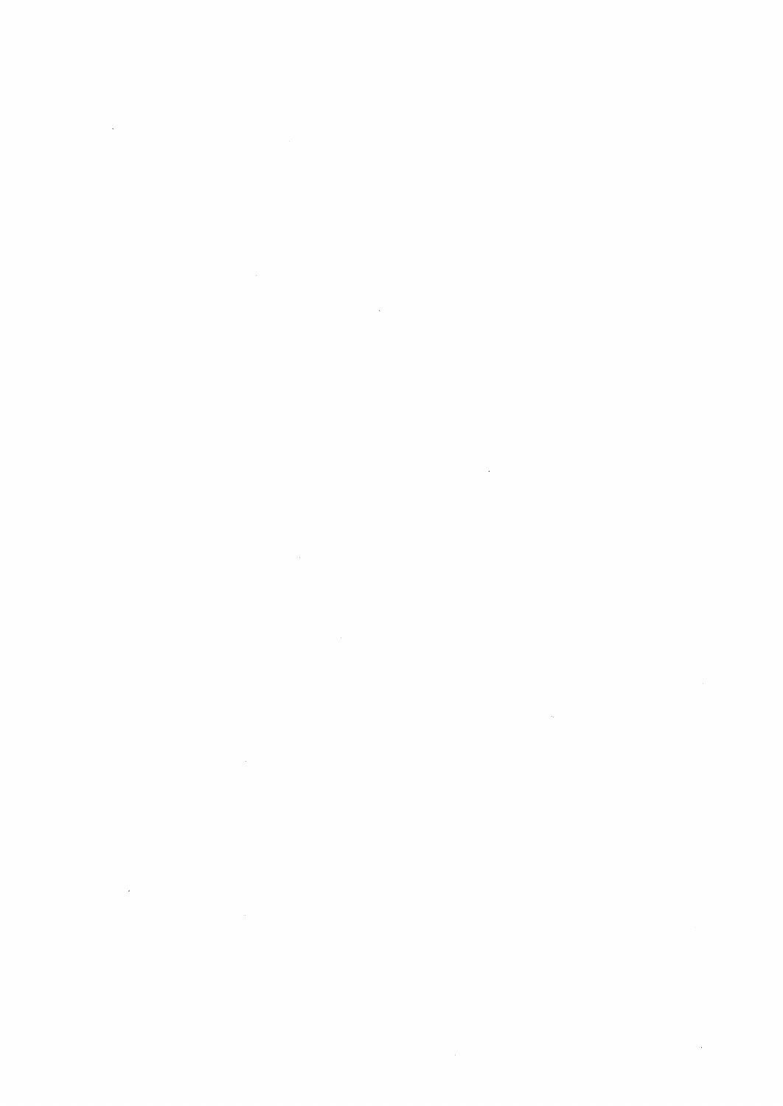$\label{eq:2.1} \frac{1}{\sqrt{2}}\left(\frac{1}{\sqrt{2}}\right)^{2} \left(\frac{1}{\sqrt{2}}\right)^{2} \left(\frac{1}{\sqrt{2}}\right)^{2} \left(\frac{1}{\sqrt{2}}\right)^{2} \left(\frac{1}{\sqrt{2}}\right)^{2} \left(\frac{1}{\sqrt{2}}\right)^{2} \left(\frac{1}{\sqrt{2}}\right)^{2} \left(\frac{1}{\sqrt{2}}\right)^{2} \left(\frac{1}{\sqrt{2}}\right)^{2} \left(\frac{1}{\sqrt{2}}\right)^{2} \left(\frac{1}{\sqrt{2}}\right)^{2} \left(\$  $\label{eq:2.1} \mathcal{L}_{\text{max}}(\mathcal{L}_{\text{max}}) = \mathcal{L}_{\text{max}}(\mathcal{L}_{\text{max}})$  $\label{eq:2.1} \frac{1}{\sqrt{2}}\int_{\mathbb{R}^3}\frac{1}{\sqrt{2}}\left(\frac{1}{\sqrt{2}}\right)^2\frac{1}{\sqrt{2}}\left(\frac{1}{\sqrt{2}}\right)^2\frac{1}{\sqrt{2}}\left(\frac{1}{\sqrt{2}}\right)^2\frac{1}{\sqrt{2}}\left(\frac{1}{\sqrt{2}}\right)^2.$ 

 $\sim$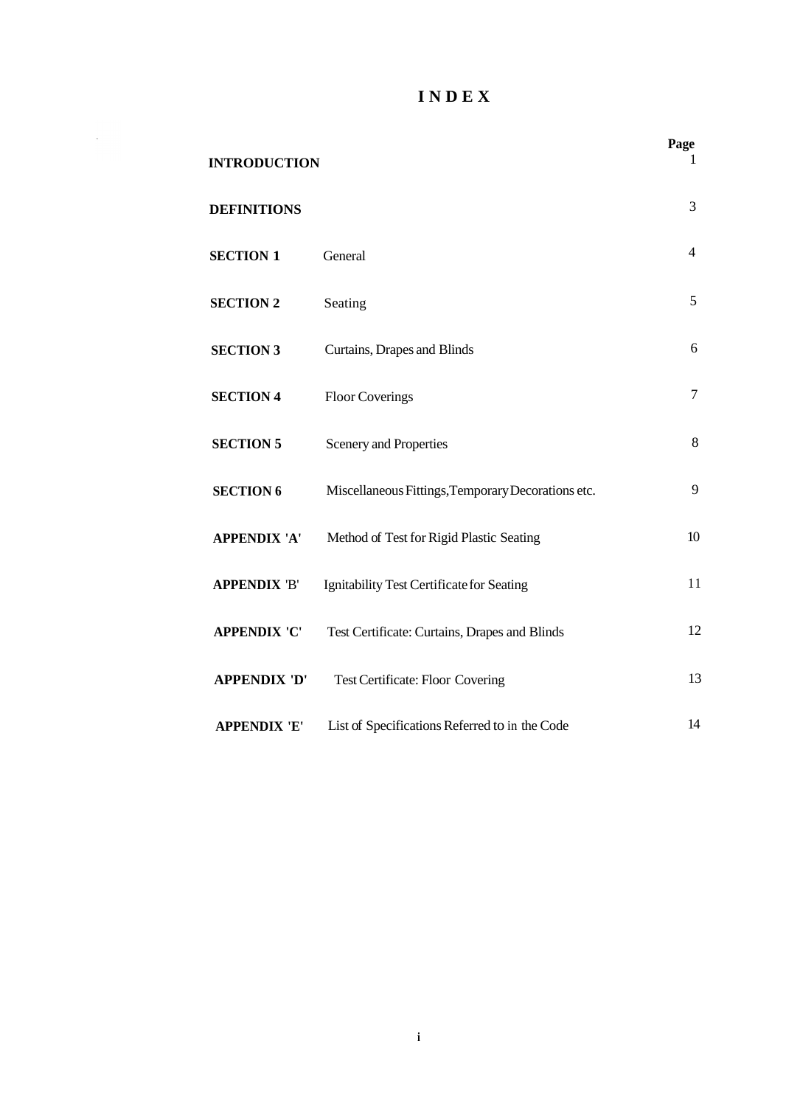# **INDEX**

 $\label{eq:2.1} \frac{1}{\sqrt{2\pi}}\int_{\mathbb{R}^3} \frac{1}{\sqrt{2\pi}}\left(\frac{1}{\sqrt{2\pi}}\right)^2 \frac{1}{\sqrt{2\pi}}\int_{\mathbb{R}^3} \frac{1}{\sqrt{2\pi}}\left(\frac{1}{\sqrt{2\pi}}\right)^2 \frac{1}{\sqrt{2\pi}}\int_{\mathbb{R}^3} \frac{1}{\sqrt{2\pi}}\frac{1}{\sqrt{2\pi}}\frac{1}{\sqrt{2\pi}}\frac{1}{\sqrt{2\pi}}\frac{1}{\sqrt{2\pi}}\frac{1}{\sqrt{2\pi}}\frac{1}{\sqrt$ 

| <b>INTRODUCTION</b> |                                                    | Page<br>1 |
|---------------------|----------------------------------------------------|-----------|
| <b>DEFINITIONS</b>  |                                                    | 3         |
| <b>SECTION 1</b>    | General                                            | 4         |
| <b>SECTION 2</b>    | Seating                                            | 5         |
| <b>SECTION 3</b>    | Curtains, Drapes and Blinds                        | 6         |
| <b>SECTION 4</b>    | <b>Floor Coverings</b>                             | $\tau$    |
| <b>SECTION 5</b>    | Scenery and Properties                             | 8         |
| <b>SECTION 6</b>    | Miscellaneous Fittings, Temporary Decorations etc. | 9         |
| <b>APPENDIX 'A'</b> | Method of Test for Rigid Plastic Seating           | 10        |
| <b>APPENDIX 'B'</b> | Ignitability Test Certificate for Seating          | 11        |
| <b>APPENDIX 'C'</b> | Test Certificate: Curtains, Drapes and Blinds      | 12        |
| <b>APPENDIX 'D'</b> | Test Certificate: Floor Covering                   | 13        |
| <b>APPENDIX 'E'</b> | List of Specifications Referred to in the Code     | 14        |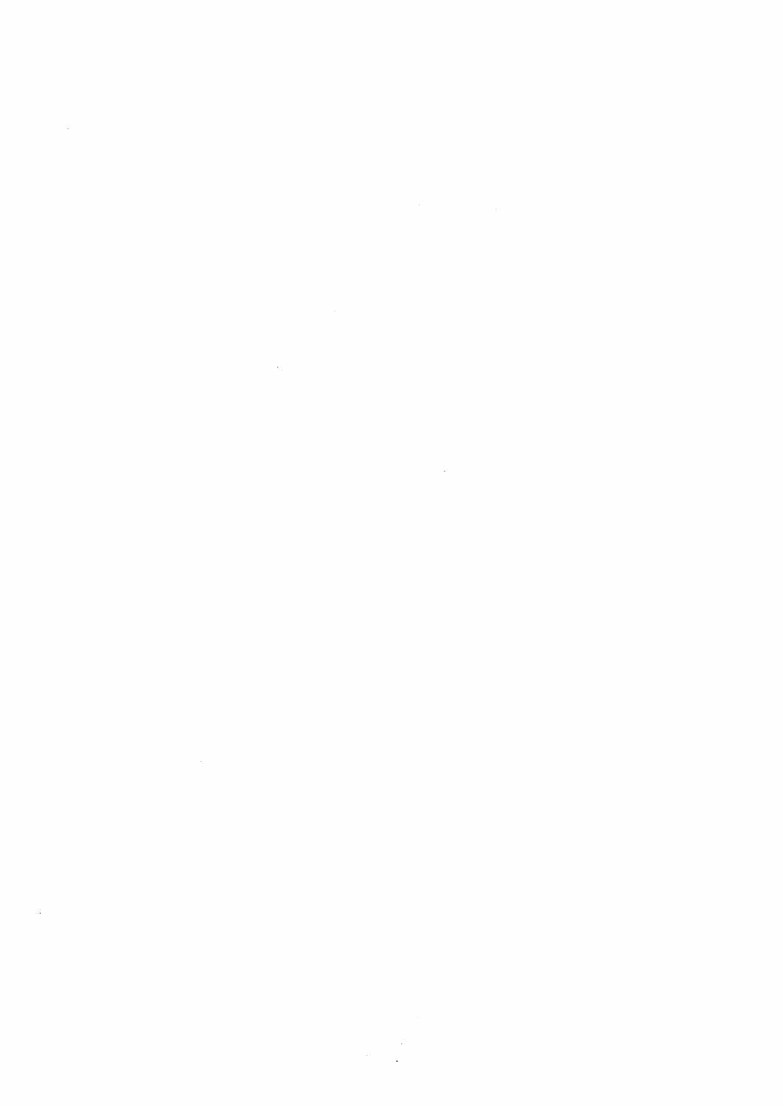$\label{eq:2.1} \frac{1}{\sqrt{2}}\left(\frac{1}{\sqrt{2}}\right)^{2} \left(\frac{1}{\sqrt{2}}\right)^{2} \left(\frac{1}{\sqrt{2}}\right)^{2} \left(\frac{1}{\sqrt{2}}\right)^{2} \left(\frac{1}{\sqrt{2}}\right)^{2} \left(\frac{1}{\sqrt{2}}\right)^{2} \left(\frac{1}{\sqrt{2}}\right)^{2} \left(\frac{1}{\sqrt{2}}\right)^{2} \left(\frac{1}{\sqrt{2}}\right)^{2} \left(\frac{1}{\sqrt{2}}\right)^{2} \left(\frac{1}{\sqrt{2}}\right)^{2} \left(\$ 

 $\label{eq:2.1} \frac{1}{\sqrt{2}}\left(\frac{1}{\sqrt{2}}\right)^2\left(\frac{1}{\sqrt{2}}\right)^2\left(\frac{1}{\sqrt{2}}\right)^2\left(\frac{1}{\sqrt{2}}\right)^2\left(\frac{1}{\sqrt{2}}\right)^2.$ 

 $\mathcal{L}_{\text{max}}$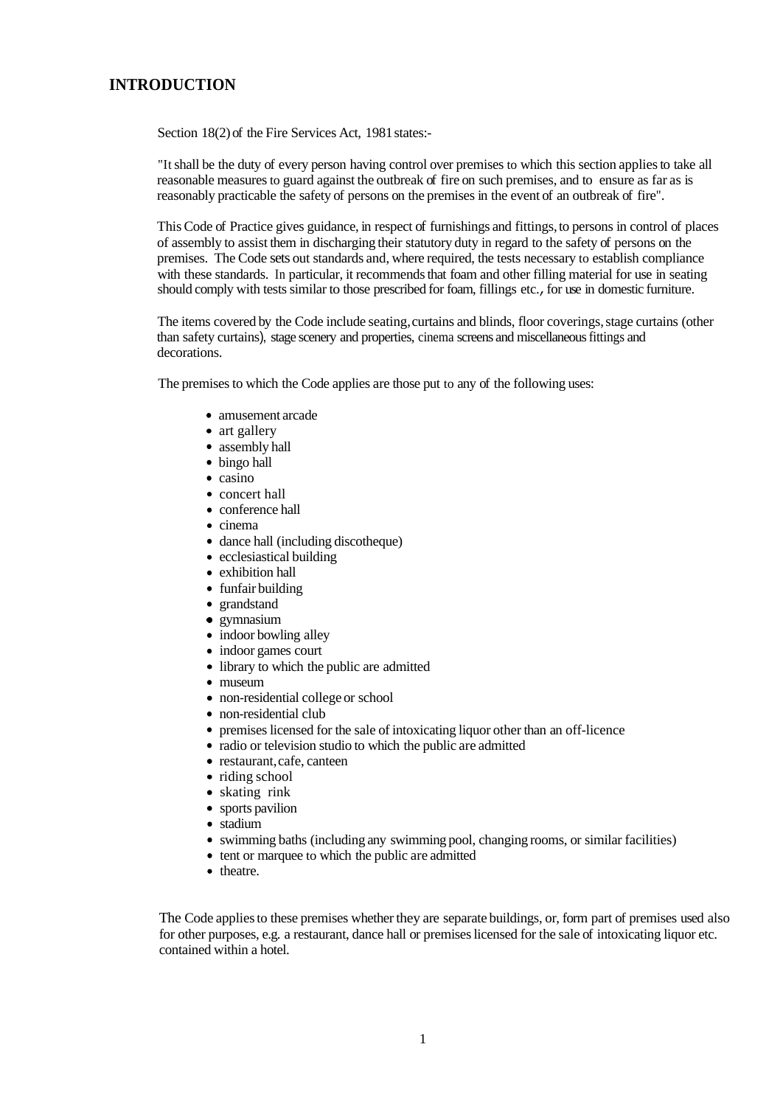#### <span id="page-6-0"></span>**INTRODUCTION**

Section 18(2) of the Fire Services Act, 1981 states:-

"It shall be the duty of every person having control over premises to which this section applies to take all reasonable measures to guard against the outbreak of fire on such premises, and to ensure as far as is reasonably practicable the safety of persons on the premises in the event of an outbreak of fire".

This Code of Practice gives guidance, in respect of furnishings and fittings, to persons in control of places of assembly to assist them in discharging their statutory duty in regard to the safety of persons on the premises. The Code sets out standards and, where required, the tests necessary to establish compliance with these standards. In particular, it recommends that foam and other filling material for use in seating should comply with tests similar to those prescribed for foam, fillings etc.*,* for use in domestic furniture.

The items covered by the Code include seating, curtains and blinds, floor coverings, stage curtains (other than safety curtains), stage scenery and properties, cinema screens and miscellaneous fittings and decorations.

The premises to which the Code applies are those put to any of the following uses:

- amusement arcade
- art gallery
- assembly hall
- bingo hall
- $\bullet$  casino
- concert hall
- conference hall
- cinema
- dance hall (including discotheque)
- ecclesiastical building
- exhibition hall
- funfair building
- grandstand
- gymnasium
- indoor bowling alley
- indoor games court
- library to which the public are admitted
- museum
- non-residential college or school
- non-residential club
- premises licensed for the sale of intoxicating liquor other than an off-licence
- radio or television studio to which the public are admitted
- restaurant, cafe, canteen
- riding school
- skating rink
- sports pavilion
- stadium
- swimming baths (including any swimming pool, changing rooms, or similar facilities)
- tent or marquee to which the public are admitted
- theatre.

The Code applies to these premises whether they are separate buildings, or, form part of premises used also for other purposes, e.g. a restaurant, dance hall or premises licensed for the sale of intoxicating liquor etc. contained within a hotel.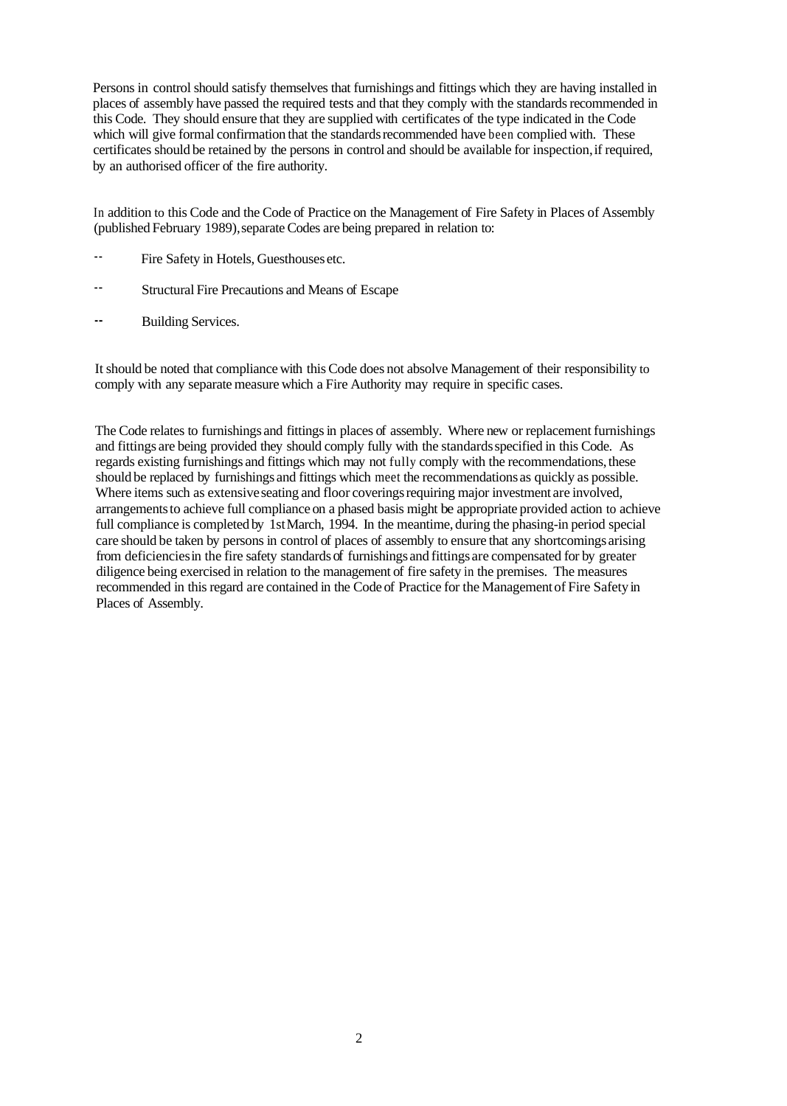<span id="page-7-0"></span>Persons in control should satisfy themselves that furnishings and fittings which they are having installed in places of assembly have passed the required tests and that they comply with the standards recommended in this Code. They should ensure that they are supplied with certificates of the type indicated in the Code which will give formal confirmation that the standards recommended have been complied with. These certificates should be retained by the persons in control and should be available for inspection, if required, by an authorised officer of the fire authority.

In addition to this Code and the Code of Practice on the Management of Fire Safety in Places of Assembly (published February 1989), separate Codes are being prepared in relation to:

- -- Fire Safety in Hotels, Guesthouses etc.
- Structural Fire Precautions and Means of Escape
- -- Building Services.

It should be noted that compliance with this Code does not absolve Management of their responsibility to comply with any separate measure which a Fire Authority may require in specific cases.

The Code relates to furnishings and fittings in places of assembly. Where new or replacement furnishings and fittings are being provided they should comply fully with the standards specified in this Code. As regards existing furnishings and fittings which may not fully comply with the recommendations, these should be replaced by furnishings and fittings which meet the recommendations as quickly as possible. Where items such as extensive seating and floor coverings requiring major investment are involved, arrangements to achieve full compliance on a phased basis might be appropriate provided action to achieve full compliance is completed by 1st March, 1994. In the meantime, during the phasing-in period special care should be taken by persons in control of places of assembly to ensure that any shortcomings arising from deficiencies in the fire safety standardsof furnishings and fittings are compensated for by greater diligence being exercised in relation to the management of fire safety in the premises. The measures recommended in this regard are contained in the Code of Practice for the Management of Fire Safety in Places of Assembly.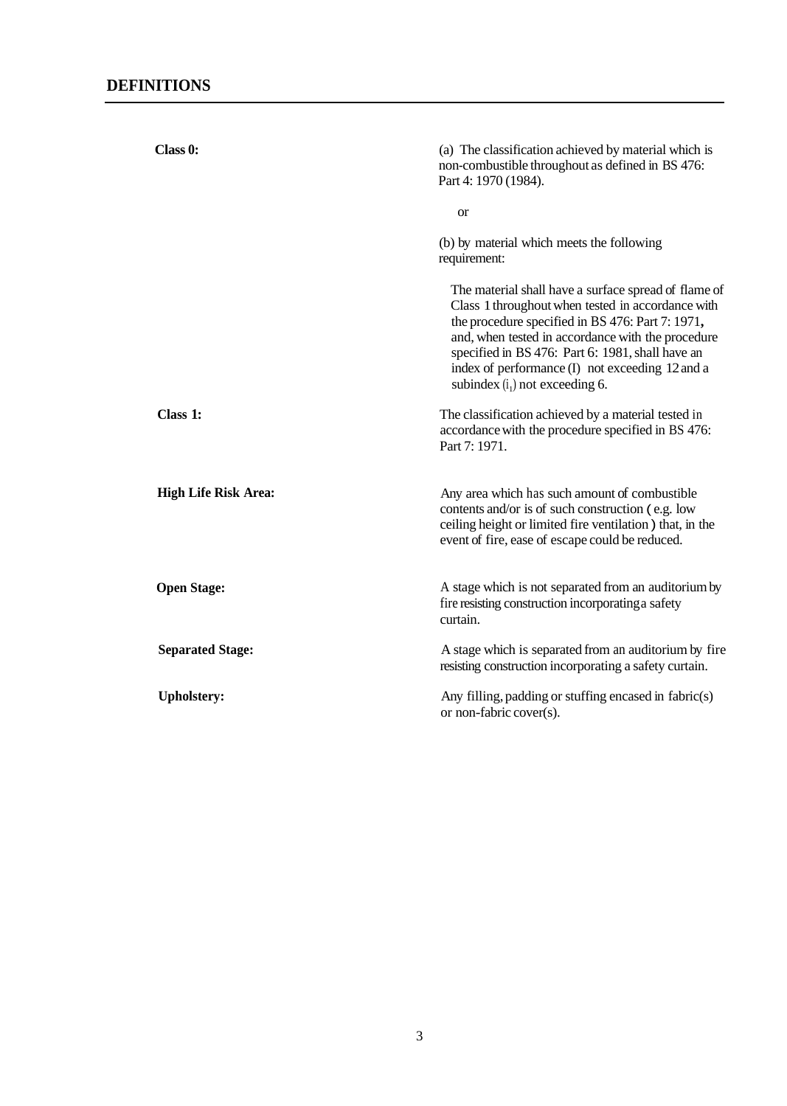<span id="page-8-0"></span>

| Class 0:                    | (a) The classification achieved by material which is<br>non-combustible throughout as defined in BS 476:<br>Part 4: 1970 (1984).                                                                                                                                                                                                                               |
|-----------------------------|----------------------------------------------------------------------------------------------------------------------------------------------------------------------------------------------------------------------------------------------------------------------------------------------------------------------------------------------------------------|
|                             | <b>or</b>                                                                                                                                                                                                                                                                                                                                                      |
|                             | (b) by material which meets the following<br>requirement:                                                                                                                                                                                                                                                                                                      |
|                             | The material shall have a surface spread of flame of<br>Class 1 throughout when tested in accordance with<br>the procedure specified in BS 476: Part 7: 1971,<br>and, when tested in accordance with the procedure<br>specified in BS 476: Part 6: 1981, shall have an<br>index of performance (I) not exceeding 12 and a<br>subindex $(i_1)$ not exceeding 6. |
| Class 1:                    | The classification achieved by a material tested in<br>accordance with the procedure specified in BS 476:<br>Part 7: 1971.                                                                                                                                                                                                                                     |
| <b>High Life Risk Area:</b> | Any area which has such amount of combustible<br>contents and/or is of such construction (e.g. low<br>ceiling height or limited fire ventilation ) that, in the<br>event of fire, ease of escape could be reduced.                                                                                                                                             |
| <b>Open Stage:</b>          | A stage which is not separated from an auditorium by<br>fire resisting construction incorporating a safety<br>curtain.                                                                                                                                                                                                                                         |
| <b>Separated Stage:</b>     | A stage which is separated from an auditorium by fire<br>resisting construction incorporating a safety curtain.                                                                                                                                                                                                                                                |
| <b>Upholstery:</b>          | Any filling, padding or stuffing encased in fabric(s)<br>or non-fabric cover(s).                                                                                                                                                                                                                                                                               |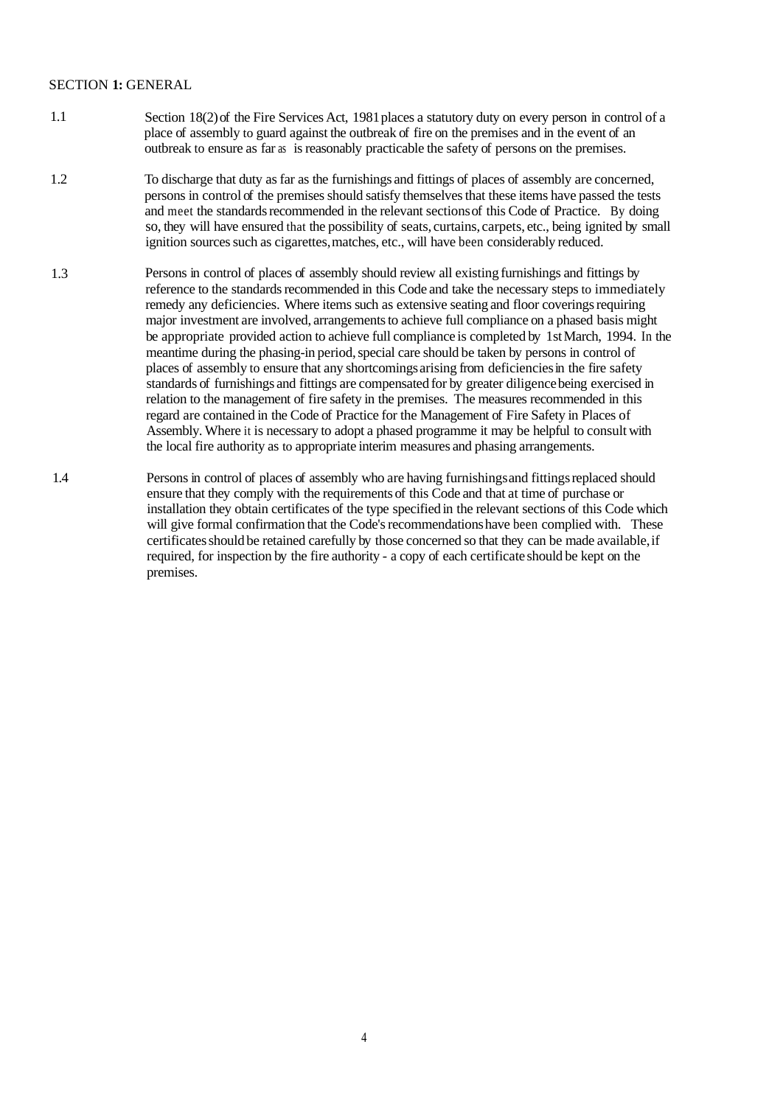#### <span id="page-9-0"></span>SECTION **1:** GENERAL

- 1.1 Section 18(2) of the Fire Services Act, 1981 places a statutory duty on every person in control of a place of assembly to guard against the outbreak of fire on the premises and in the event of an outbreak to ensure as far as is reasonably practicable the safety of persons on the premises.
- 1.2 To discharge that duty as far as the furnishings and fittings of places of assembly are concerned, persons in control of the premises should satisfy themselves that these items have passed the tests and meet the standards recommended in the relevant sections of this Code of Practice. By doing so, they will have ensured that the possibility of seats, curtains, carpets, etc., being ignited by small ignition sources such as cigarettes, matches, etc., will have been considerably reduced.
- 1.3 Persons in control of places of assembly should review all existing furnishings and fittings by reference to the standards recommended in this Code and take the necessary steps to immediately remedy any deficiencies. Where items such as extensive seating and floor coverings requiring major investment are involved, arrangements to achieve full compliance on a phased basis might be appropriate provided action to achieve full compliance is completed by 1st March, 1994. In the meantime during the phasing-in period, special care should be taken by persons in control of places of assembly to ensure that any shortcomings arising from deficiencies in the fire safety standards of furnishings and fittings are compensated for by greater diligence being exercised in relation to the management of fire safety in the premises. The measures recommended in this regard are contained in the Code of Practice for the Management of Fire Safety in Places of Assembly. Where it is necessary to adopt a phased programme it may be helpful to consult with the local fire authority as to appropriate interim measures and phasing arrangements.
- 1.4 Persons in control of places of assembly who are having furnishings and fittings replaced should ensure that they comply with the requirements of this Code and that at time of purchase or installation they obtain certificates of the type specified in the relevant sections of this Code which will give formal confirmation that the Code's recommendations have been complied with. These certificates should be retained carefully by those concerned so that they can be made available, if required, for inspection by the fire authority - a copy of each certificate should be kept on the premises.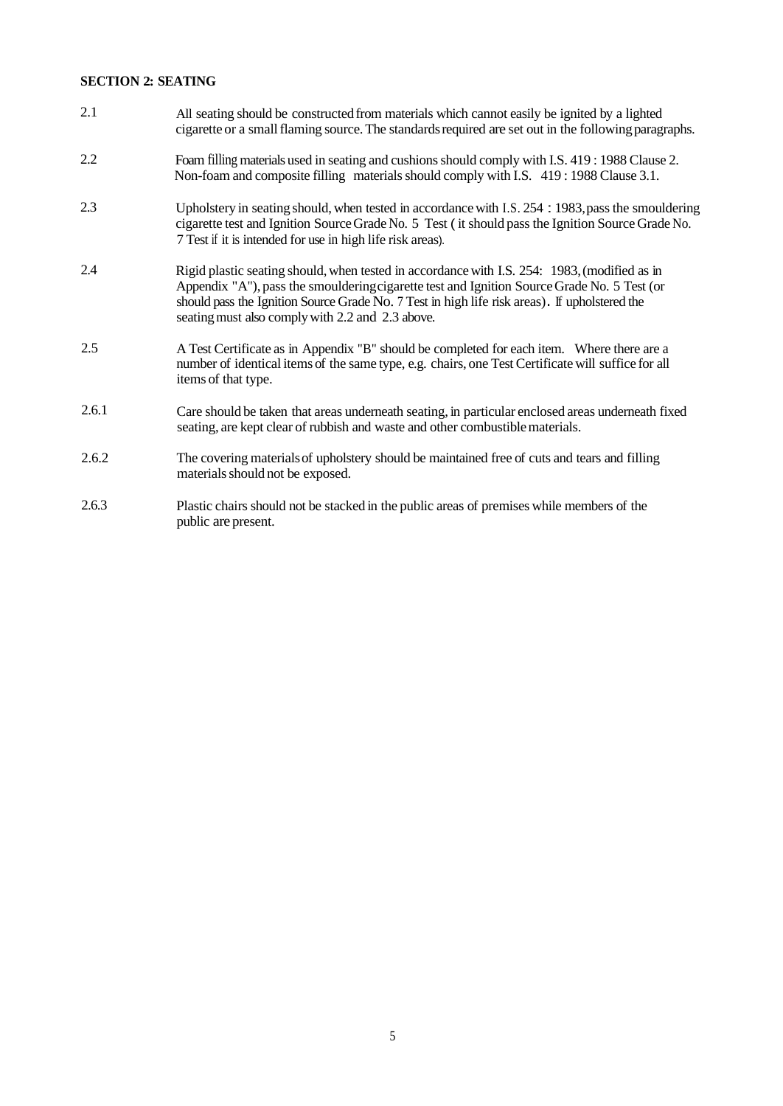### <span id="page-10-0"></span>**SECTION 2: SEATING**

| 2.1   | All seating should be constructed from materials which cannot easily be ignited by a lighted<br>cigarette or a small flaming source. The standards required are set out in the following paragraphs.                                                                                                                                             |
|-------|--------------------------------------------------------------------------------------------------------------------------------------------------------------------------------------------------------------------------------------------------------------------------------------------------------------------------------------------------|
| 2.2   | Foam filling materials used in seating and cushions should comply with I.S. 419: 1988 Clause 2.<br>Non-foam and composite filling materials should comply with I.S. 419:1988 Clause 3.1.                                                                                                                                                         |
| 2.3   | Upholstery in seating should, when tested in accordance with I.S. 254 : 1983, pass the smouldering<br>cigarette test and Ignition Source Grade No. 5 Test (it should pass the Ignition Source Grade No.<br>7 Test if it is intended for use in high life risk areas).                                                                            |
| 2.4   | Rigid plastic seating should, when tested in accordance with I.S. 254: 1983, (modified as in<br>Appendix "A"), pass the smouldering cigarette test and Ignition Source Grade No. 5 Test (or<br>should pass the Ignition Source Grade No. 7 Test in high life risk areas). If upholstered the<br>seating must also comply with 2.2 and 2.3 above. |
| 2.5   | A Test Certificate as in Appendix "B" should be completed for each item. Where there are a<br>number of identical items of the same type, e.g. chairs, one Test Certificate will suffice for all<br>items of that type.                                                                                                                          |
| 2.6.1 | Care should be taken that areas underneath seating, in particular enclosed areas underneath fixed<br>seating, are kept clear of rubbish and waste and other combustible materials.                                                                                                                                                               |
| 2.6.2 | The covering materials of upholstery should be maintained free of cuts and tears and filling<br>materials should not be exposed.                                                                                                                                                                                                                 |
| 2.6.3 | Plastic chairs should not be stacked in the public areas of premises while members of the<br>public are present.                                                                                                                                                                                                                                 |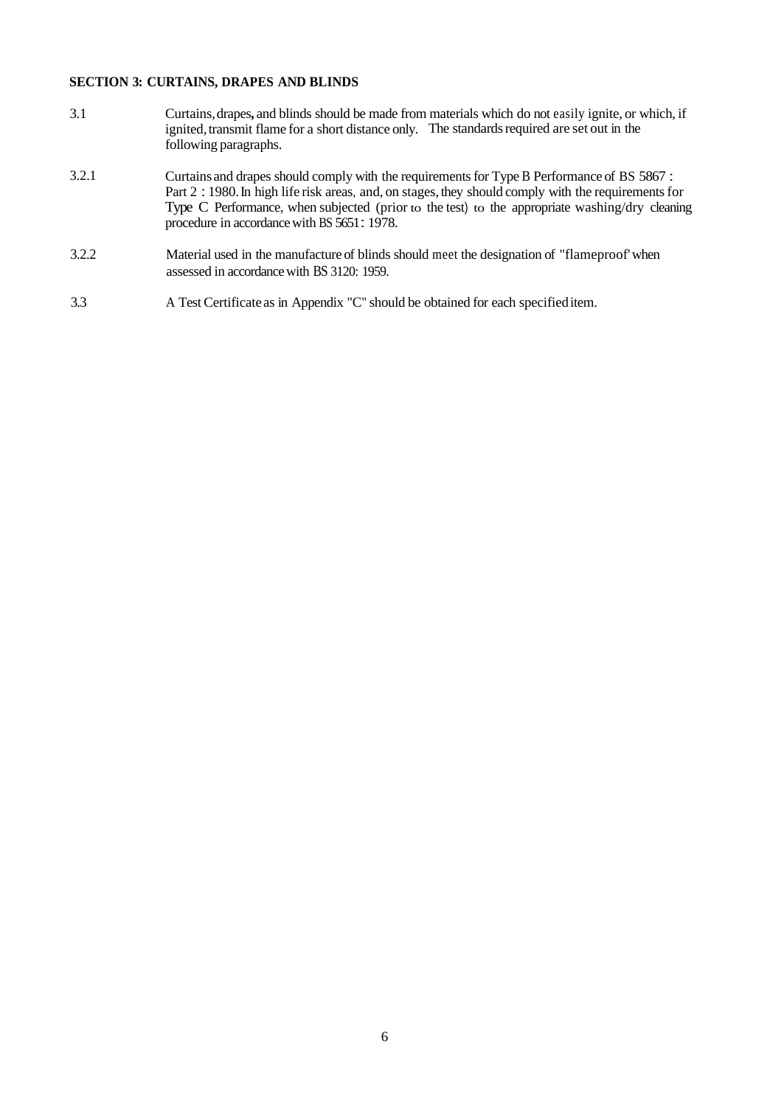## <span id="page-11-0"></span>**SECTION 3: CURTAINS, DRAPES AND BLINDS**

| 3.1   | Curtains, drapes, and blinds should be made from materials which do not easily ignite, or which, if<br>ignited, transmit flame for a short distance only. The standards required are set out in the<br>following paragraphs.                                                                                                                         |
|-------|------------------------------------------------------------------------------------------------------------------------------------------------------------------------------------------------------------------------------------------------------------------------------------------------------------------------------------------------------|
| 3.2.1 | Curtains and drapes should comply with the requirements for Type B Performance of BS 5867 :<br>Part 2 : 1980. In high life risk areas, and, on stages, they should comply with the requirements for<br>Type C Performance, when subjected (prior to the test) to the appropriate washing/dry cleaning<br>procedure in accordance with BS 5651: 1978. |
| 3.2.2 | Material used in the manufacture of blinds should meet the designation of "flameproof" when<br>assessed in accordance with BS 3120: 1959.                                                                                                                                                                                                            |
| 3.3   | A Test Certificate as in Appendix "C" should be obtained for each specified item.                                                                                                                                                                                                                                                                    |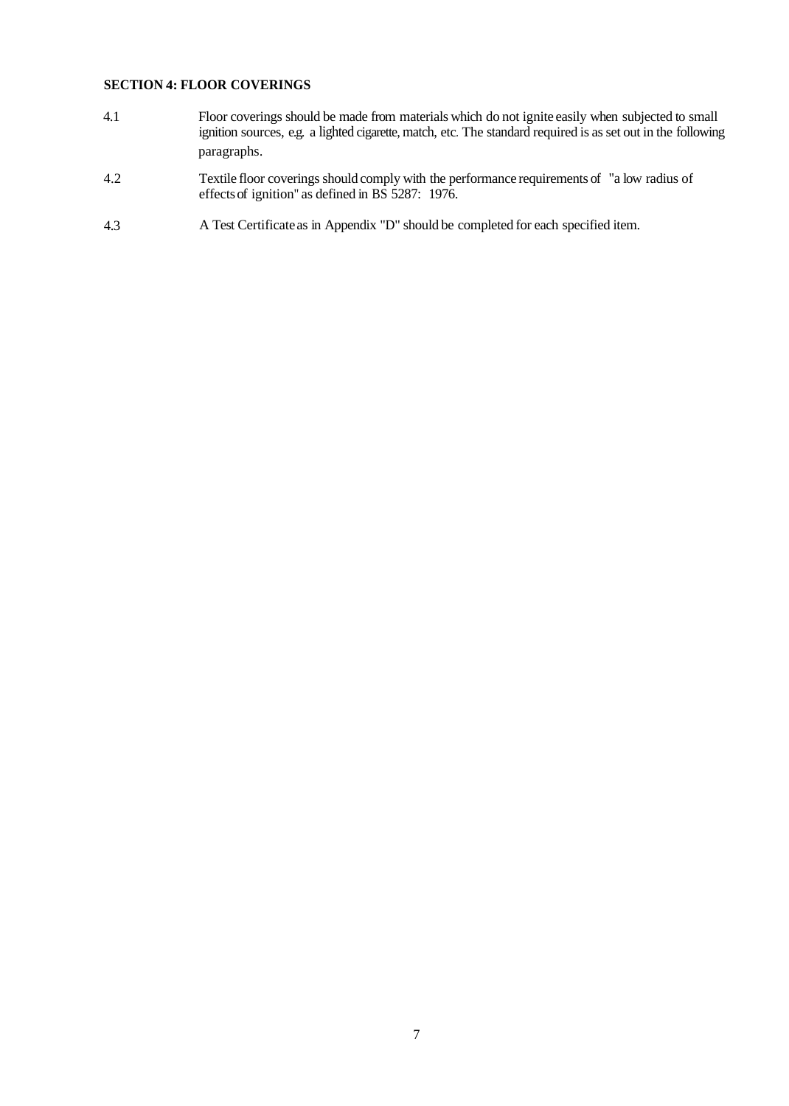#### <span id="page-12-0"></span>**SECTION 4: FLOOR COVERINGS**

- 4.1 Floor coverings should be made from materials which do not ignite easily when subjected to small ignition sources, e.g. a lighted cigarette, match, etc*.* The standard required is as set out in the following paragraphs.
- 4.2 Textile floor coverings should comply with the performance requirements of "a low radius of effects of ignition" as defined in BS 5287: 1976.
- 4.3 A Test Certificate as in Appendix "D" should be completed for each specified item.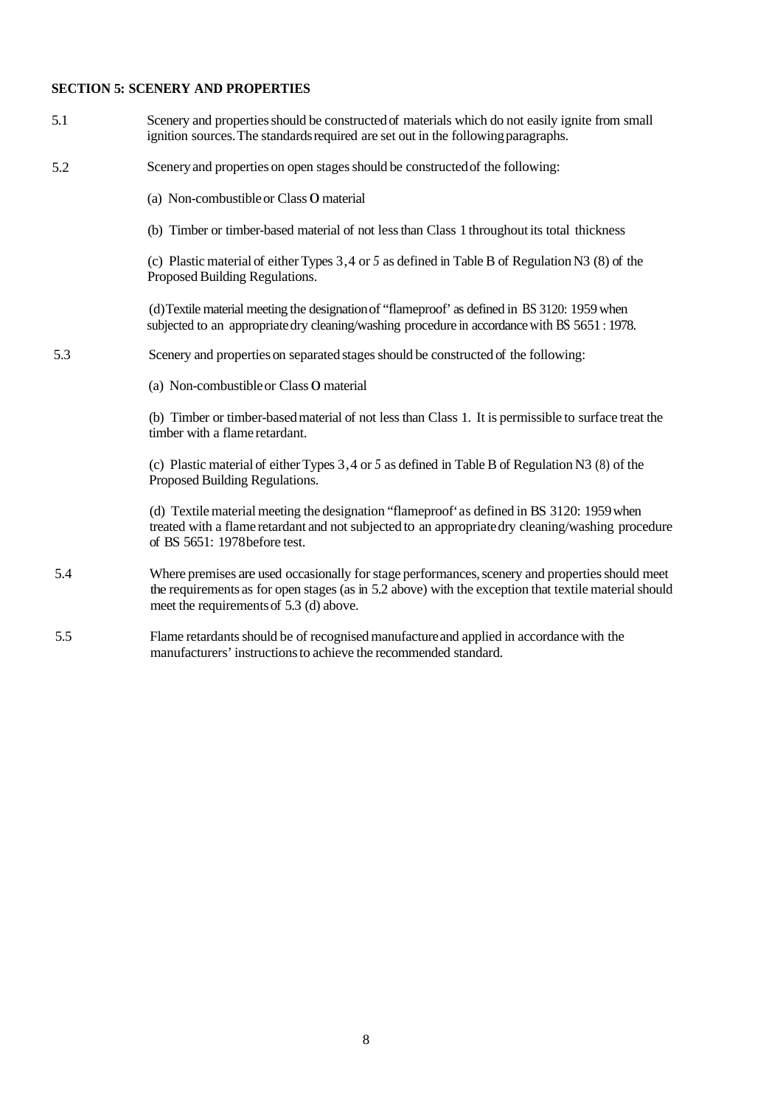## <span id="page-13-0"></span>**SECTION 5: SCENERY AND PROPERTIES**

| 5.1 | Scenery and properties should be constructed of materials which do not easily ignite from small<br>ignition sources. The standards required are set out in the following paragraphs.                                                                |
|-----|-----------------------------------------------------------------------------------------------------------------------------------------------------------------------------------------------------------------------------------------------------|
| 5.2 | Scenery and properties on open stages should be constructed of the following:                                                                                                                                                                       |
|     | (a) Non-combustible or Class O material                                                                                                                                                                                                             |
|     | (b) Timber or timber-based material of not less than Class 1 throughout its total thickness                                                                                                                                                         |
|     | (c) Plastic material of either Types 3,4 or 5 as defined in Table B of Regulation N3 (8) of the<br>Proposed Building Regulations.                                                                                                                   |
|     | (d) Textile material meeting the designation of "flameproof" as defined in BS 3120: 1959 when<br>subjected to an appropriate dry cleaning/washing procedure in accordance with BS 5651: 1978.                                                       |
| 5.3 | Scenery and properties on separated stages should be constructed of the following:                                                                                                                                                                  |
|     | (a) Non-combustible or Class O material                                                                                                                                                                                                             |
|     | (b) Timber or timber-based material of not less than Class 1. It is permissible to surface treat the<br>timber with a flame retardant.                                                                                                              |
|     | (c) Plastic material of either Types 3, 4 or 5 as defined in Table B of Regulation N3 (8) of the<br>Proposed Building Regulations.                                                                                                                  |
|     | (d) Textile material meeting the designation "flameproof' as defined in BS 3120: 1959 when<br>treated with a flame retardant and not subjected to an appropriate dry cleaning/washing procedure<br>of BS 5651: 1978 before test.                    |
| 5.4 | Where premises are used occasionally for stage performances, scenery and properties should meet<br>the requirements as for open stages (as in 5.2 above) with the exception that textile material should<br>meet the requirements of 5.3 (d) above. |
| 5.5 | Flame retardants should be of recognised manufacture and applied in accordance with the                                                                                                                                                             |

manufacturers' instructions to achieve the recommended standard.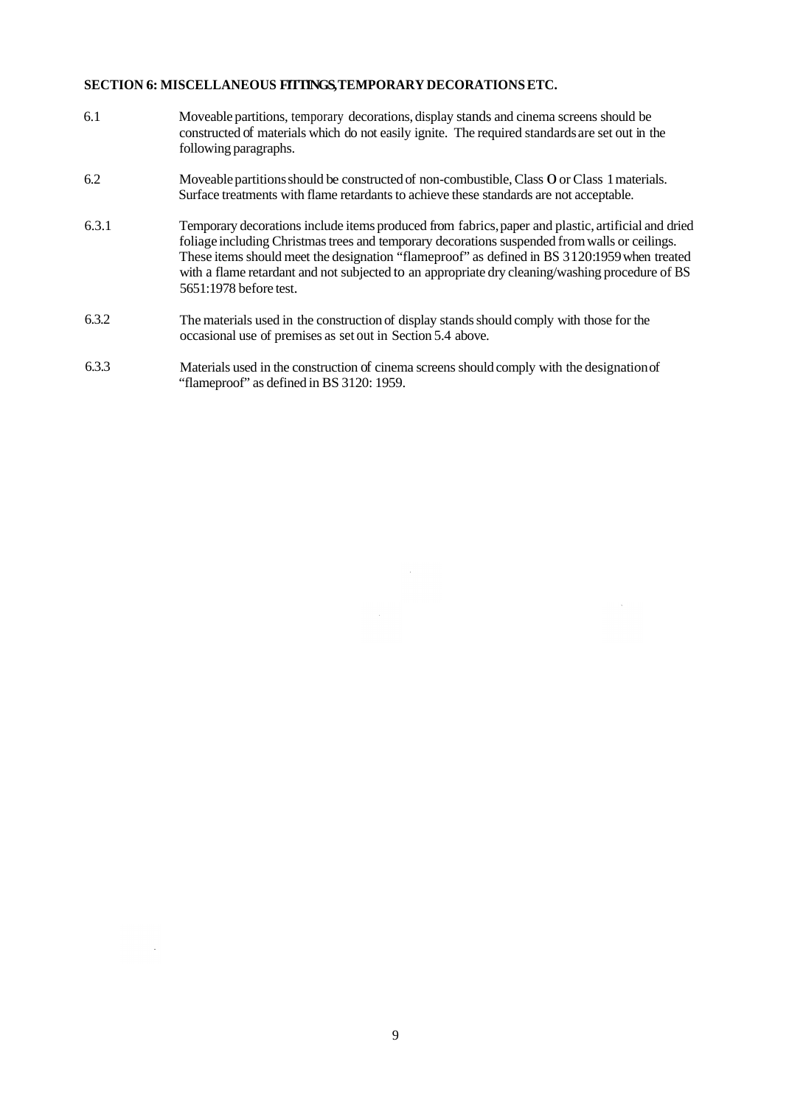#### <span id="page-14-0"></span>**SECTION 6: MISCELLANEOUS FITTINGS,TEMPORARY DECORATIONS ETC.**

- 6.1 Moveable partitions, temporary decorations, display stands and cinema screens should be constructed of materials which do not easily ignite. The required standards are set out in the following paragraphs.
- 6.2 Moveable partitions should be constructed of non-combustible, Class 0 or Class 1 materials. Surface treatments with flame retardants to achieve these standards are not acceptable.
- 6.3.1 Temporary decorations include items produced from fabrics, paper and plastic, artificial and dried foliage including Christmas trees and temporary decorations suspended from walls or ceilings. These items should meet the designation "flameproof" as defined in BS 3120:1959 when treated with a flame retardant and not subjected to an appropriate dry cleaning/washing procedure of BS 5651:1978 before test.
- 6.3.2 The materials used in the construction of display stands should comply with those for the occasional use of premises as set out in Section 5.4 above.
- 6.3.3 Materials used in the construction of cinema screens should comply with the designation of "flameproof" as defined in BS 3120: 1959.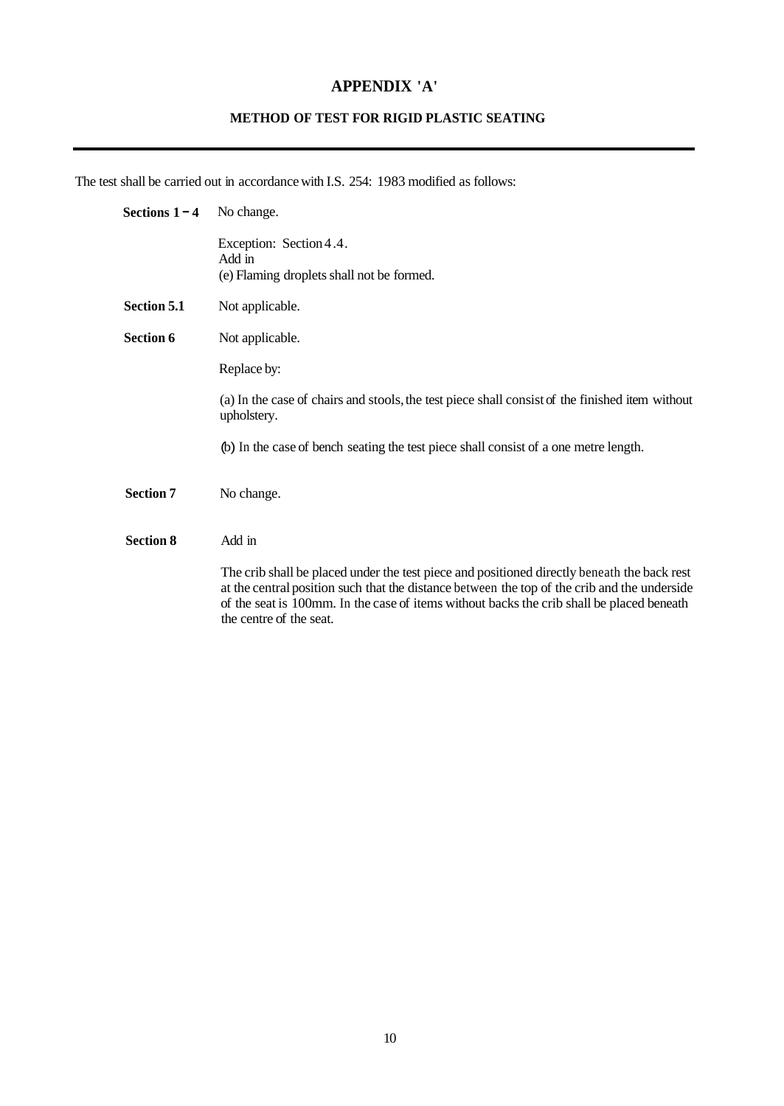## **APPENDIX 'A'**

#### **METHOD OF TEST FOR RIGID PLASTIC SEATING**

<span id="page-15-0"></span>The test shall be carried out in accordance with I.S. 254: 1983 modified as follows:

| Sections $1 - 4$                    | No change.                                                                                                                                                                                                                                                                                                          |  |
|-------------------------------------|---------------------------------------------------------------------------------------------------------------------------------------------------------------------------------------------------------------------------------------------------------------------------------------------------------------------|--|
|                                     | Exception: Section 4.4.<br>Add in<br>(e) Flaming droplets shall not be formed.                                                                                                                                                                                                                                      |  |
| <b>Section 5.1</b>                  | Not applicable.                                                                                                                                                                                                                                                                                                     |  |
| <b>Section 6</b><br>Not applicable. |                                                                                                                                                                                                                                                                                                                     |  |
|                                     | Replace by:                                                                                                                                                                                                                                                                                                         |  |
|                                     | (a) In the case of chairs and stools, the test piece shall consist of the finished item without<br>upholstery.                                                                                                                                                                                                      |  |
|                                     | (b) In the case of bench seating the test piece shall consist of a one metre length.                                                                                                                                                                                                                                |  |
| <b>Section 7</b>                    | No change.                                                                                                                                                                                                                                                                                                          |  |
| <b>Section 8</b>                    | Add in                                                                                                                                                                                                                                                                                                              |  |
|                                     | The crib shall be placed under the test piece and positioned directly beneath the back rest<br>at the central position such that the distance between the top of the crib and the underside<br>of the seat is 100mm. In the case of items without backs the crib shall be placed beneath<br>the centre of the seat. |  |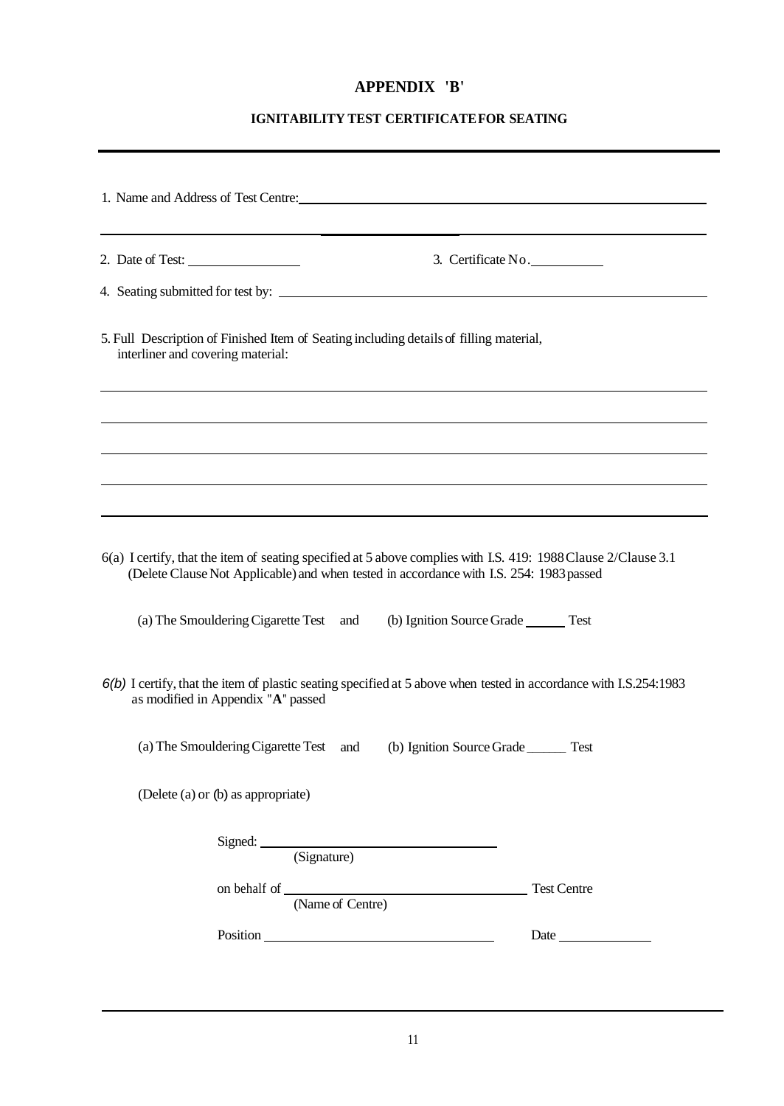# **APPENDIX 'B'**

## **IGNITABILITY TEST CERTIFICATE FOR SEATING**

<span id="page-16-0"></span>

|                                                                                                                                                                                                                                                                                             | 3. Certificate No.                      |
|---------------------------------------------------------------------------------------------------------------------------------------------------------------------------------------------------------------------------------------------------------------------------------------------|-----------------------------------------|
| 5. Full Description of Finished Item of Seating including details of filling material,<br>interliner and covering material:                                                                                                                                                                 |                                         |
|                                                                                                                                                                                                                                                                                             |                                         |
|                                                                                                                                                                                                                                                                                             |                                         |
| 6(a) I certify, that the item of seating specified at 5 above complies with I.S. 419: 1988 Clause 2/Clause 3.1<br>(Delete Clause Not Applicable) and when tested in accordance with I.S. 254: 1983 passed<br>(a) The Smouldering Cigarette Test and (b) Ignition Source Grade ________ Test |                                         |
| $6(b)$ I certify, that the item of plastic seating specified at 5 above when tested in accordance with I.S.254:1983<br>as modified in Appendix "A" passed                                                                                                                                   |                                         |
| (a) The Smouldering Cigarette Test and                                                                                                                                                                                                                                                      | (b) Ignition Source Grade ________ Test |
| (Delete (a) or (b) as appropriate)                                                                                                                                                                                                                                                          |                                         |
| Signed: <u>(Signature)</u>                                                                                                                                                                                                                                                                  |                                         |
| on behalf of <u>(Name of Centre)</u>                                                                                                                                                                                                                                                        | <b>Test Centre</b>                      |
|                                                                                                                                                                                                                                                                                             |                                         |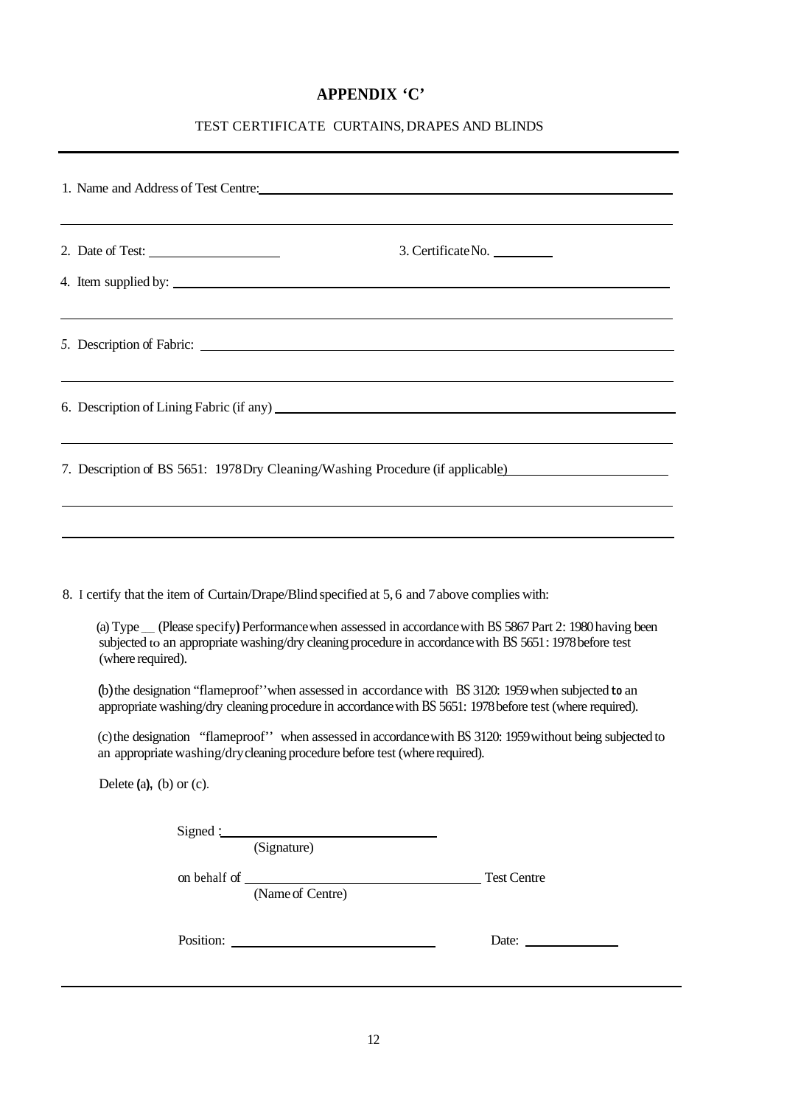## **APPENDIX 'C'**

## TEST CERTIFICATE CURTAINS, DRAPES AND BLINDS

<span id="page-17-0"></span>

| 1. Name and Address of Test Centre:                                                                                                                                                                                                                                                                                                                                                                                                                                                                                                                                                                                                                                                                                                                                                           |                       |  |
|-----------------------------------------------------------------------------------------------------------------------------------------------------------------------------------------------------------------------------------------------------------------------------------------------------------------------------------------------------------------------------------------------------------------------------------------------------------------------------------------------------------------------------------------------------------------------------------------------------------------------------------------------------------------------------------------------------------------------------------------------------------------------------------------------|-----------------------|--|
|                                                                                                                                                                                                                                                                                                                                                                                                                                                                                                                                                                                                                                                                                                                                                                                               | 3. Certificate No.    |  |
|                                                                                                                                                                                                                                                                                                                                                                                                                                                                                                                                                                                                                                                                                                                                                                                               |                       |  |
|                                                                                                                                                                                                                                                                                                                                                                                                                                                                                                                                                                                                                                                                                                                                                                                               |                       |  |
| 7. Description of BS 5651: 1978Dry Cleaning/Washing Procedure (if applicable)                                                                                                                                                                                                                                                                                                                                                                                                                                                                                                                                                                                                                                                                                                                 |                       |  |
| 8. I certify that the item of Curtain/Drape/Blind specified at 5,6 and 7 above complies with:<br>(a) Type (Please specify) Performance when assessed in accordance with BS 5867 Part 2: 1980 having been<br>subjected to an appropriate washing/dry cleaning procedure in accordance with BS 5651: 1978 before test<br>(where required).<br>(b) the designation "flameproof" when assessed in accordance with BS 3120: 1959 when subjected to an<br>appropriate washing/dry cleaning procedure in accordance with BS 5651: 1978 before test (where required).<br>(c) the designation "flameproof" when assessed in accordance with BS 3120: 1959 without being subjected to<br>an appropriate washing/dry cleaning procedure before test (where required).<br>Delete $(a)$ , $(b)$ or $(c)$ . |                       |  |
| on behalf of <u>Centre</u> (Name of Centre)                                                                                                                                                                                                                                                                                                                                                                                                                                                                                                                                                                                                                                                                                                                                                   |                       |  |
|                                                                                                                                                                                                                                                                                                                                                                                                                                                                                                                                                                                                                                                                                                                                                                                               | Date: $\qquad \qquad$ |  |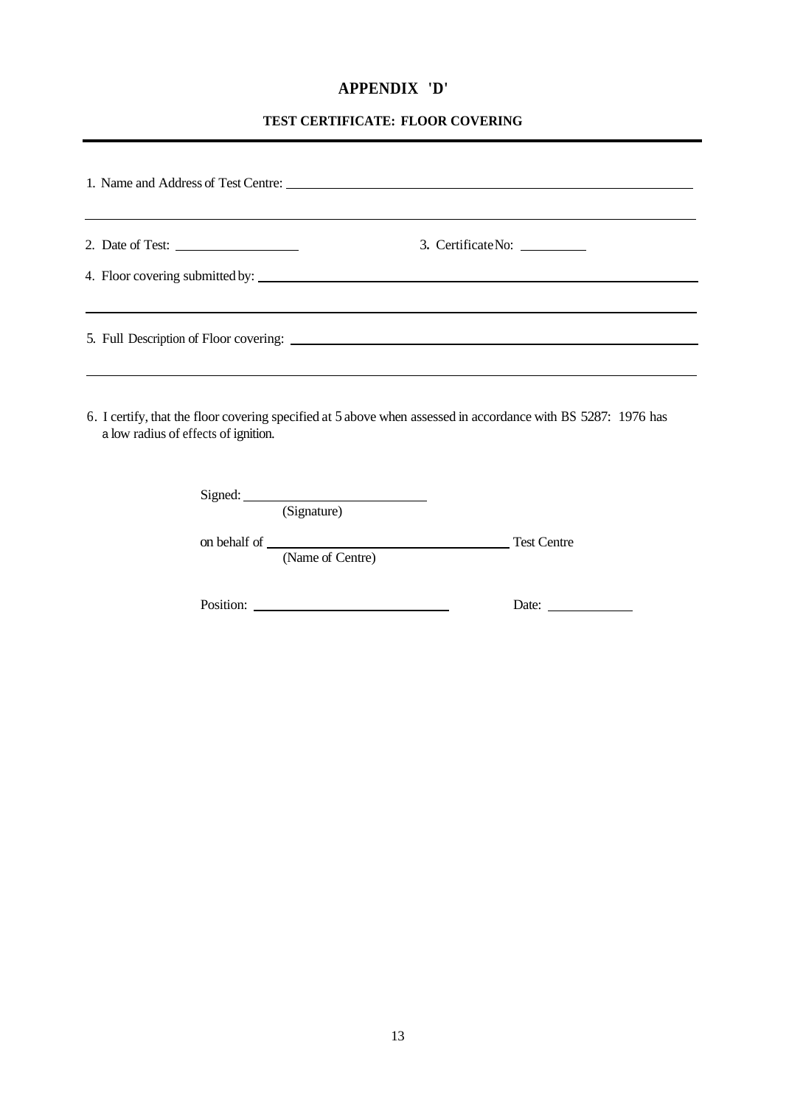# **APPENDIX 'D'**

#### **TEST CERTIFICATE: FLOOR COVERING**

<span id="page-18-0"></span>

| 2. Date of Test: $\_\_$              | ,我们也不会有什么?""我们的人,我们也不会有什么?""我们的人,我们也不会有什么?""我们的人,我们也不会有什么?""我们的人,我们也不会有什么?""我们的人<br>3. Certificate No: ___________ |                    |
|--------------------------------------|--------------------------------------------------------------------------------------------------------------------|--------------------|
|                                      |                                                                                                                    |                    |
|                                      |                                                                                                                    |                    |
| a low radius of effects of ignition. | 6. I certify, that the floor covering specified at 5 above when assessed in accordance with BS 5287: 1976 has      |                    |
|                                      | $\overline{\text{Signature}}$                                                                                      |                    |
|                                      | (Name of Centre)                                                                                                   | <b>Test Centre</b> |
|                                      |                                                                                                                    |                    |